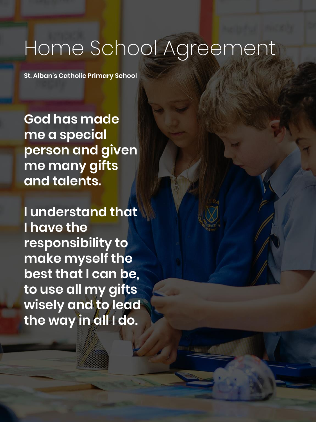# Home School Agreement

**St. Alban's Catholic Primary School** 

**God has made me a special person and given me many gifts and talents.**

**I understand that I have the responsibility to make myself the best that I can be, to use all my gifts wisely and to lead the way in all I do.**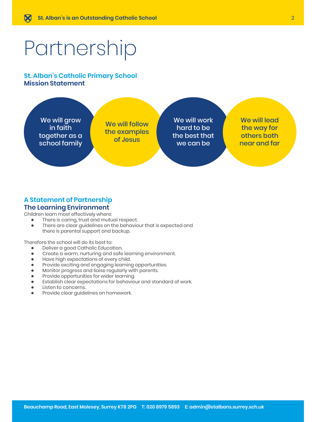# Partnership

#### **St. Alban's Catholic Primary School Mission Statement**



#### **A Statement of Partnership The Learning Environment**

Children learn most effectively where:

- There is caring, trust and mutual respect.
- There are clear guidelines on the behaviour that is expected and there is parental support and backup.

Therefore the school will do its best to:

- Deliver a good Catholic Education.
- Create a warm, nurturing and safe learning environment.
- Have high expectations of every child.<br>● Provide exciting and engaging learning
- Provide exciting and engaging learning opportunities.
- Monitor progress and liaise regularly with parents.
- Provide opportunities for wider learning.
- Establish clear expectations for behaviour and standard of work.
- Listen to concerns.<br>● Provide clear quide
- Provide clear guidelines on homework.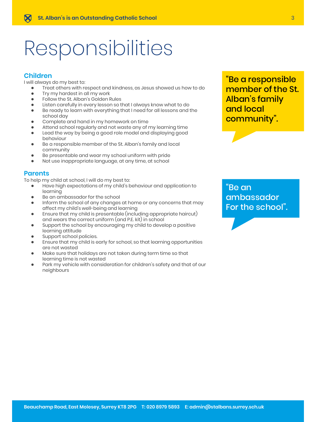# Responsibilities

#### **Children**

I will always do my best to:

- Treat others with respect and kindness, as Jesus showed us how to do
- Try my hardest in all my work
- Follow the St. Alban's Golden Rules
- Listen carefully in every lesson so that I always know what to do
- Be ready to learn with everything that I need for all lessons and the school day
- Complete and hand in my homework on time
- Attend school regularly and not waste any of my learning time
- Lead the way by being a good role model and displaying good behaviour
- Be a responsible member of the St. Alban's family and local community
- Be presentable and wear my school uniform with pride
- Not use inappropriate language, at any time, at school

#### **Parents**

To help my child at school, I will do my best to:

- Have high expectations of my child's behaviour and application to learning
- Be an ambassador for the school
- Inform the school of any changes at home or any concerns that may affect my child's well-being and learning
- Ensure that my child is presentable (including appropriate haircut) and wears the correct uniform (and P.E. kit) in school
- Support the school by encouraging my child to develop a positive learning attitude
- **•** Support school policies.
- Ensure that my child is early for school, so that learning opportunities are not wasted
- Make sure that holidays are not taken during term time so that learning time is not wasted
- Park my vehicle with consideration for children's safety and that of our neighbours

## "Be a responsible member of the St. Alban's family and local community".

### "Be an ambassador For the school".